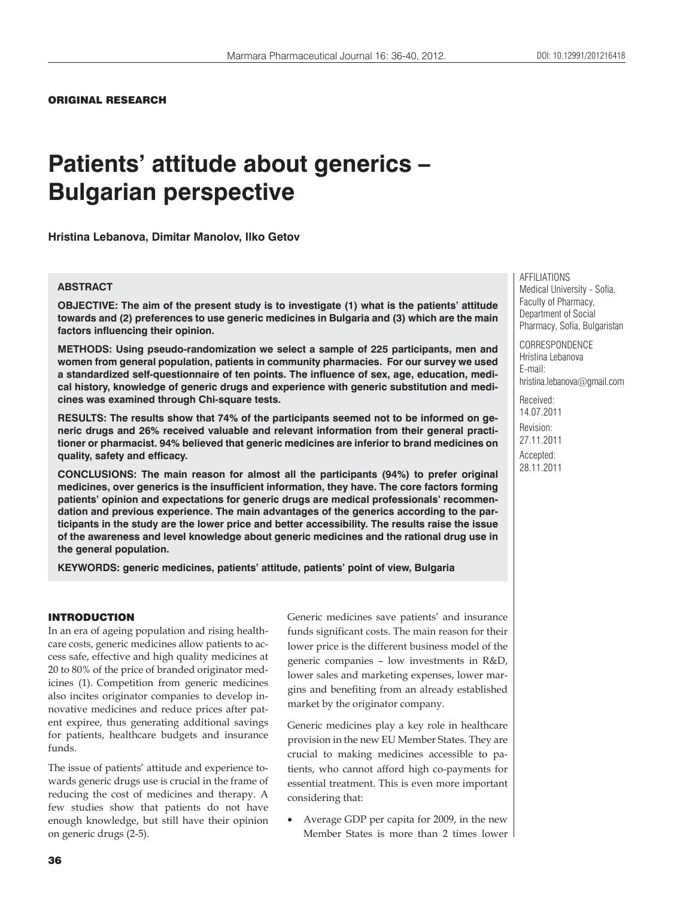## ORIGINAL RESEARCH

# **Patients' attitude about generics – Bulgarian perspective**

**Hristina Lebanova, Dimitar Manolov, Ilko Getov**

# **ABSTRACT**

**OBJECTIVE: The aim of the present study is to investigate (1) what is the patients' attitude towards and (2) preferences to use generic medicines in Bulgaria and (3) which are the main factors influencing their opinion.**

**METHODS: Using pseudo-randomization we select a sample of 225 participants, men and women from general population, patients in community pharmacies. For our survey we used a standardized self-questionnaire of ten points. The influence of sex, age, education, medical history, knowledge of generic drugs and experience with generic substitution and medicines was examined through Chi-square tests.**

**RESULTS: The results show that 74% of the participants seemed not to be informed on generic drugs and 26% received valuable and relevant information from their general practitioner or pharmacist. 94% believed that generic medicines are inferior to brand medicines on quality, safety and efficacy.**

**CONCLUSIONS: The main reason for almost all the participants (94%) to prefer original medicines, over generics is the insufficient information, they have. The core factors forming patients' opinion and expectations for generic drugs are medical professionals' recommendation and previous experience. The main advantages of the generics according to the participants in the study are the lower price and better accessibility. The results raise the issue of the awareness and level knowledge about generic medicines and the rational drug use in the general population.**

**KEYWORDS: generic medicines, patients' attitude, patients' point of view, Bulgaria**

# INTRODUCTION

In an era of ageing population and rising healthcare costs, generic medicines allow patients to access safe, effective and high quality medicines at 20 to 80% of the price of branded originator medicines (1). Competition from generic medicines also incites originator companies to develop innovative medicines and reduce prices after patent expiree, thus generating additional savings for patients, healthcare budgets and insurance funds.

The issue of patients' attitude and experience towards generic drugs use is crucial in the frame of reducing the cost of medicines and therapy. A few studies show that patients do not have enough knowledge, but still have their opinion on generic drugs (2-5).

Generic medicines save patients' and insurance funds significant costs. The main reason for their lower price is the different business model of the generic companies – low investments in R&D, lower sales and marketing expenses, lower margins and benefiting from an already established market by the originator company.

Generic medicines play a key role in healthcare provision in the new EU Member States. They are crucial to making medicines accessible to patients, who cannot afford high co-payments for essential treatment. This is even more important considering that:

 Average GDP per capita for 2009, in the new Member States is more than 2 times lower AFFILIATIONS Medical University - Sofia, Faculty of Pharmacy, Department of Social Pharmacy, Sofia, Bulgaristan

CORRESPONDENCE Hristina Lebanova E-mail: hristina.lebanova@gmail.com

Received: 14.07.2011 Revision: 27.11.2011 Accepted: 28.11.2011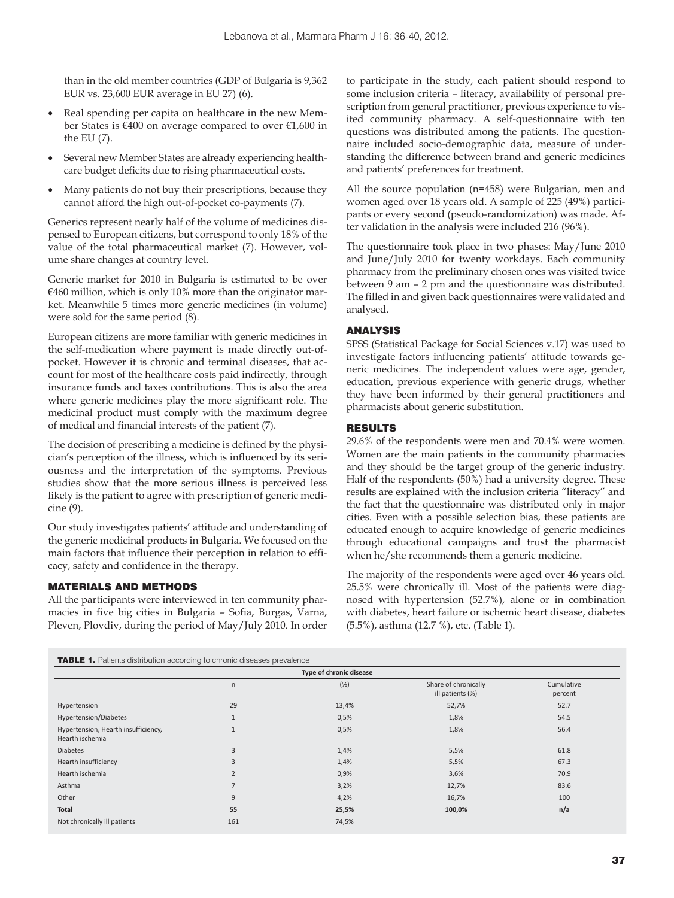than in the old member countries (GDP of Bulgaria is 9,362 EUR vs. 23,600 EUR average in EU 27) (6).

- Real spending per capita on healthcare in the new Member States is €400 on average compared to over €1,600 in the EU (7).
- Several new Member States are already experiencing healthcare budget deficits due to rising pharmaceutical costs.
- Many patients do not buy their prescriptions, because they cannot afford the high out-of-pocket co-payments (7).

Generics represent nearly half of the volume of medicines dispensed to European citizens, but correspond to only 18% of the value of the total pharmaceutical market (7). However, volume share changes at country level.

Generic market for 2010 in Bulgaria is estimated to be over €460 million, which is only 10% more than the originator market. Meanwhile 5 times more generic medicines (in volume) were sold for the same period (8).

European citizens are more familiar with generic medicines in the self-medication where payment is made directly out-ofpocket. However it is chronic and terminal diseases, that account for most of the healthcare costs paid indirectly, through insurance funds and taxes contributions. This is also the area where generic medicines play the more significant role. The medicinal product must comply with the maximum degree of medical and financial interests of the patient (7).

The decision of prescribing a medicine is defined by the physician's perception of the illness, which is influenced by its seriousness and the interpretation of the symptoms. Previous studies show that the more serious illness is perceived less likely is the patient to agree with prescription of generic medicine (9).

Our study investigates patients' attitude and understanding of the generic medicinal products in Bulgaria. We focused on the main factors that influence their perception in relation to efficacy, safety and confidence in the therapy.

#### MATERIALS AND METHODS

All the participants were interviewed in ten community pharmacies in five big cities in Bulgaria – Sofia, Burgas, Varna, Pleven, Plovdiv, during the period of May/July 2010. In order to participate in the study, each patient should respond to some inclusion criteria – literacy, availability of personal prescription from general practitioner, previous experience to visited community pharmacy. A self-questionnaire with ten questions was distributed among the patients. The questionnaire included socio-demographic data, measure of understanding the difference between brand and generic medicines and patients' preferences for treatment.

All the source population (n=458) were Bulgarian, men and women aged over 18 years old. A sample of 225 (49%) participants or every second (pseudo-randomization) was made. After validation in the analysis were included 216 (96%).

The questionnaire took place in two phases: May/June 2010 and June/July 2010 for twenty workdays. Each community pharmacy from the preliminary chosen ones was visited twice between 9 am – 2 pm and the questionnaire was distributed. The filled in and given back questionnaires were validated and analysed.

## ANALYSIS

SPSS (Statistical Package for Social Sciences v.17) was used to investigate factors influencing patients' attitude towards generic medicines. The independent values were age, gender, education, previous experience with generic drugs, whether they have been informed by their general practitioners and pharmacists about generic substitution.

## RESULTS

29.6% of the respondents were men and 70.4% were women. Women are the main patients in the community pharmacies and they should be the target group of the generic industry. Half of the respondents (50%) had a university degree. These results are explained with the inclusion criteria "literacy" and the fact that the questionnaire was distributed only in major cities. Even with a possible selection bias, these patients are educated enough to acquire knowledge of generic medicines through educational campaigns and trust the pharmacist when he/she recommends them a generic medicine.

The majority of the respondents were aged over 46 years old. 25.5% were chronically ill. Most of the patients were diagnosed with hypertension (52.7%), alone or in combination with diabetes, heart failure or ischemic heart disease, diabetes (5.5%), asthma (12.7 %), etc. (Table 1).

|  |  |  | <b>TABLE 1.</b> Patients distribution according to chronic diseases prevalence |
|--|--|--|--------------------------------------------------------------------------------|
|  |  |  |                                                                                |

| Type of chronic disease                                |                |       |                                          |                       |  |  |
|--------------------------------------------------------|----------------|-------|------------------------------------------|-----------------------|--|--|
|                                                        | $\mathsf{n}$   | (%)   | Share of chronically<br>ill patients (%) | Cumulative<br>percent |  |  |
| Hypertension                                           | 29             | 13,4% | 52,7%                                    | 52.7                  |  |  |
| Hypertension/Diabetes                                  | $\mathbf{1}$   | 0,5%  | 1,8%                                     | 54.5                  |  |  |
| Hypertension, Hearth insufficiency,<br>Hearth ischemia | $\mathbf{1}$   | 0,5%  | 1,8%                                     | 56.4                  |  |  |
| <b>Diabetes</b>                                        | $\overline{3}$ | 1,4%  | 5,5%                                     | 61.8                  |  |  |
| Hearth insufficiency                                   | 3              | 1,4%  | 5,5%                                     | 67.3                  |  |  |
| Hearth ischemia                                        | $\overline{2}$ | 0,9%  | 3,6%                                     | 70.9                  |  |  |
| Asthma                                                 | $\overline{7}$ | 3,2%  | 12,7%                                    | 83.6                  |  |  |
| Other                                                  | 9              | 4,2%  | 16,7%                                    | 100                   |  |  |
| Total                                                  | 55             | 25,5% | 100,0%                                   | n/a                   |  |  |
| Not chronically ill patients                           | 161            | 74,5% |                                          |                       |  |  |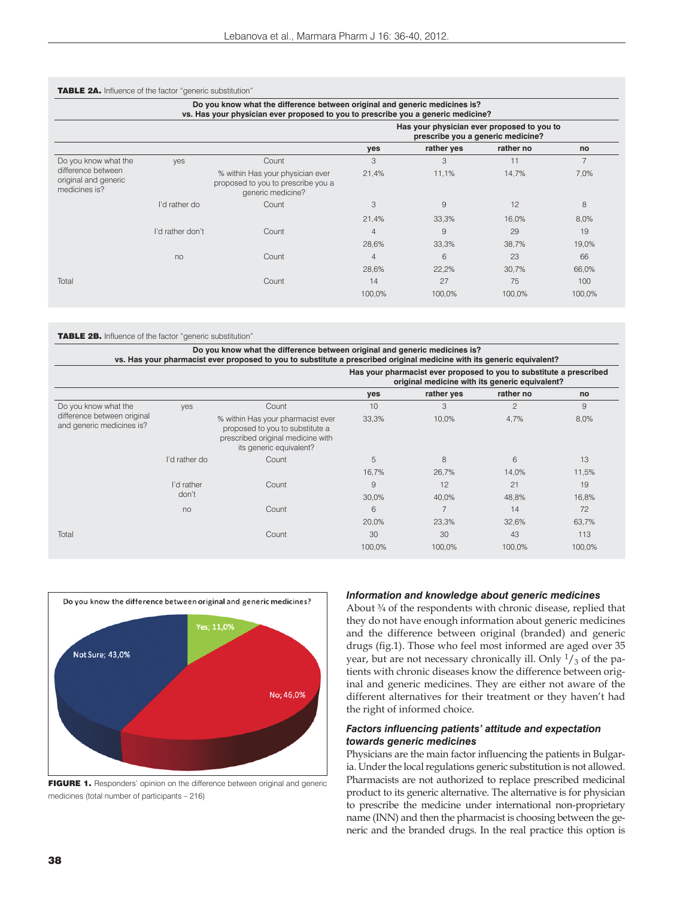| Do you know what the difference between original and generic medicines is?<br>vs. Has your physician ever proposed to you to prescribe you a generic medicine? |                  |                                                                                             |                                                                                 |            |           |                |  |  |
|----------------------------------------------------------------------------------------------------------------------------------------------------------------|------------------|---------------------------------------------------------------------------------------------|---------------------------------------------------------------------------------|------------|-----------|----------------|--|--|
|                                                                                                                                                                |                  |                                                                                             | Has your physician ever proposed to you to<br>prescribe you a generic medicine? |            |           |                |  |  |
|                                                                                                                                                                |                  |                                                                                             | yes                                                                             | rather yes | rather no | no             |  |  |
| Do you know what the                                                                                                                                           | yes              | Count                                                                                       | 3                                                                               | 3          | 11        | $\overline{7}$ |  |  |
| difference between<br>original and generic<br>medicines is?                                                                                                    |                  | % within Has your physician ever<br>proposed to you to prescribe you a<br>generic medicine? | 21,4%                                                                           | 11,1%      | 14,7%     | 7,0%           |  |  |
|                                                                                                                                                                | I'd rather do    | Count                                                                                       | 3                                                                               | 9          | 12        | 8              |  |  |
|                                                                                                                                                                |                  |                                                                                             | 21,4%                                                                           | 33,3%      | 16,0%     | 8,0%           |  |  |
|                                                                                                                                                                | I'd rather don't | Count                                                                                       | $\overline{4}$                                                                  | 9          | 29        | 19             |  |  |
|                                                                                                                                                                |                  |                                                                                             | 28,6%                                                                           | 33,3%      | 38,7%     | 19,0%          |  |  |
|                                                                                                                                                                | no               | Count                                                                                       | $\overline{4}$                                                                  | 6          | 23        | 66             |  |  |
|                                                                                                                                                                |                  |                                                                                             | 28,6%                                                                           | 22,2%      | 30,7%     | 66,0%          |  |  |
| Total                                                                                                                                                          |                  | Count                                                                                       | 14                                                                              | 27         | 75        | 100            |  |  |
|                                                                                                                                                                |                  |                                                                                             | 100,0%                                                                          | 100,0%     | 100,0%    | 100,0%         |  |  |

TABLE 2B. Influence of the factor "generic substitution"

|                                                          |               |                                                                                                                                      | Has your pharmacist ever proposed to you to substitute a prescribed<br>original medicine with its generic equivalent? |            |                |        |
|----------------------------------------------------------|---------------|--------------------------------------------------------------------------------------------------------------------------------------|-----------------------------------------------------------------------------------------------------------------------|------------|----------------|--------|
|                                                          |               |                                                                                                                                      | yes                                                                                                                   | rather yes | rather no      | no     |
| Do you know what the                                     | yes           | Count                                                                                                                                | 10                                                                                                                    | 3          | $\overline{c}$ | 9      |
| difference between original<br>and generic medicines is? |               | % within Has your pharmacist ever<br>proposed to you to substitute a<br>prescribed original medicine with<br>its generic equivalent? | 33,3%                                                                                                                 | 10,0%      | 4,7%           | 8,0%   |
|                                                          | I'd rather do | Count                                                                                                                                | 5                                                                                                                     | 8          | 6              | 13     |
|                                                          |               |                                                                                                                                      | 16,7%                                                                                                                 | 26,7%      | 14,0%          | 11,5%  |
|                                                          | I'd rather    | Count                                                                                                                                | 9                                                                                                                     | 12         | 21             | 19     |
|                                                          | don't         |                                                                                                                                      | 30,0%                                                                                                                 | 40,0%      | 48,8%          | 16,8%  |
|                                                          | no            | Count                                                                                                                                | 6                                                                                                                     |            | 14             | 72     |
|                                                          |               |                                                                                                                                      | 20,0%                                                                                                                 | 23,3%      | 32,6%          | 63,7%  |
| Total                                                    |               | Count                                                                                                                                | 30                                                                                                                    | 30         | 43             | 113    |
|                                                          |               |                                                                                                                                      | 100,0%                                                                                                                | 100,0%     | 100,0%         | 100,0% |



FIGURE 1. Responders' opinion on the difference between original and generic medicines (total number of participants – 216)

#### *Information and knowledge about generic medicines*

About  $\frac{3}{4}$  of the respondents with chronic disease, replied that they do not have enough information about generic medicines and the difference between original (branded) and generic drugs (fig.1). Those who feel most informed are aged over 35 year, but are not necessary chronically ill. Only  $\frac{1}{3}$  of the patients with chronic diseases know the difference between original and generic medicines. They are either not aware of the different alternatives for their treatment or they haven't had the right of informed choice.

## *Factors influencing patients' attitude and expectation towards generic medicines*

Physicians are the main factor influencing the patients in Bulgaria. Under the local regulations generic substitution is not allowed. Pharmacists are not authorized to replace prescribed medicinal product to its generic alternative. The alternative is for physician to prescribe the medicine under international non-proprietary name (INN) and then the pharmacist is choosing between the generic and the branded drugs. In the real practice this option is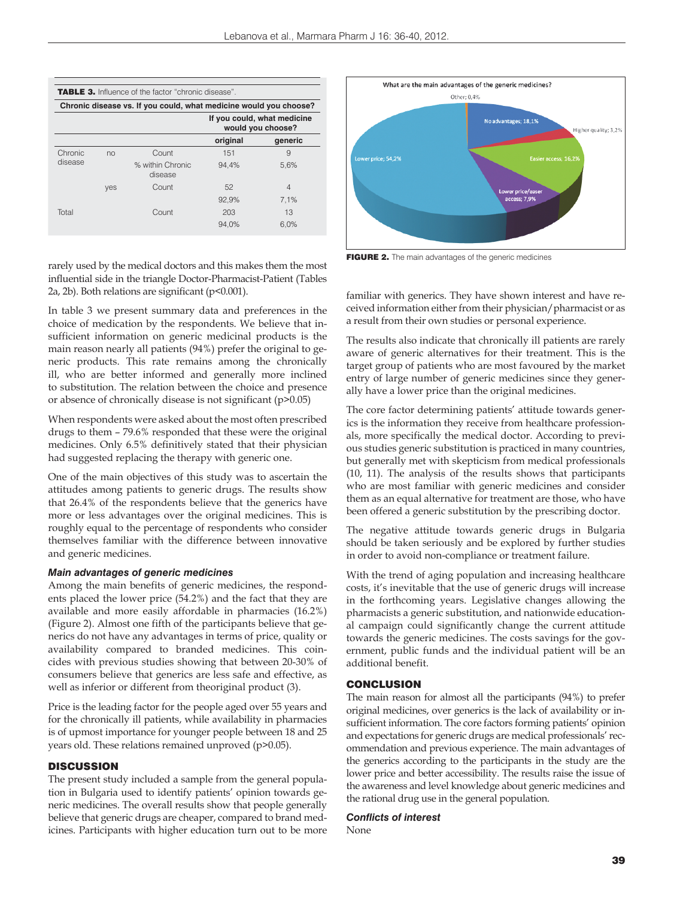

rarely used by the medical doctors and this makes them the most influential side in the triangle Doctor-Pharmacist-Patient (Tables 2a, 2b). Both relations are significant (p<0.001).

In table 3 we present summary data and preferences in the choice of medication by the respondents. We believe that insufficient information on generic medicinal products is the main reason nearly all patients (94%) prefer the original to generic products. This rate remains among the chronically ill, who are better informed and generally more inclined to substitution. The relation between the choice and presence or absence of chronically disease is not significant (p>0.05)

When respondents were asked about the most often prescribed drugs to them – 79.6% responded that these were the original medicines. Only 6.5% definitively stated that their physician had suggested replacing the therapy with generic one.

One of the main objectives of this study was to ascertain the attitudes among patients to generic drugs. The results show that 26.4% of the respondents believe that the generics have more or less advantages over the original medicines. This is roughly equal to the percentage of respondents who consider themselves familiar with the difference between innovative and generic medicines.

#### *Main advantages of generic medicines*

Among the main benefits of generic medicines, the respondents placed the lower price (54.2%) and the fact that they are available and more easily affordable in pharmacies (16.2%) (Figure 2). Almost one fifth of the participants believe that generics do not have any advantages in terms of price, quality or availability compared to branded medicines. This coincides with previous studies showing that between 20-30% of consumers believe that generics are less safe and effective, as well as inferior or different from theoriginal product (3).

Price is the leading factor for the people aged over 55 years and for the chronically ill patients, while availability in pharmacies is of upmost importance for younger people between 18 and 25 years old. These relations remained unproved (p>0.05).

## **DISCUSSION**

The present study included a sample from the general population in Bulgaria used to identify patients' opinion towards generic medicines. The overall results show that people generally believe that generic drugs are cheaper, compared to brand medicines. Participants with higher education turn out to be more



FIGURE 2. The main advantages of the generic medicines

familiar with generics. They have shown interest and have received information either from their physician/pharmacist or as a result from their own studies or personal experience.

The results also indicate that chronically ill patients are rarely aware of generic alternatives for their treatment. This is the target group of patients who are most favoured by the market entry of large number of generic medicines since they generally have a lower price than the original medicines.

The core factor determining patients' attitude towards generics is the information they receive from healthcare professionals, more specifically the medical doctor. According to previous studies generic substitution is practiced in many countries, but generally met with skepticism from medical professionals (10, 11). The analysis of the results shows that participants who are most familiar with generic medicines and consider them as an equal alternative for treatment are those, who have been offered a generic substitution by the prescribing doctor.

The negative attitude towards generic drugs in Bulgaria should be taken seriously and be explored by further studies in order to avoid non-compliance or treatment failure.

With the trend of aging population and increasing healthcare costs, it's inevitable that the use of generic drugs will increase in the forthcoming years. Legislative changes allowing the pharmacists a generic substitution, and nationwide educational campaign could significantly change the current attitude towards the generic medicines. The costs savings for the government, public funds and the individual patient will be an additional benefit.

#### CONCLUSION

The main reason for almost all the participants (94%) to prefer original medicines, over generics is the lack of availability or insufficient information. The core factors forming patients' opinion and expectations for generic drugs are medical professionals' recommendation and previous experience. The main advantages of the generics according to the participants in the study are the lower price and better accessibility. The results raise the issue of the awareness and level knowledge about generic medicines and the rational drug use in the general population.

#### *Conflicts of interest*

None